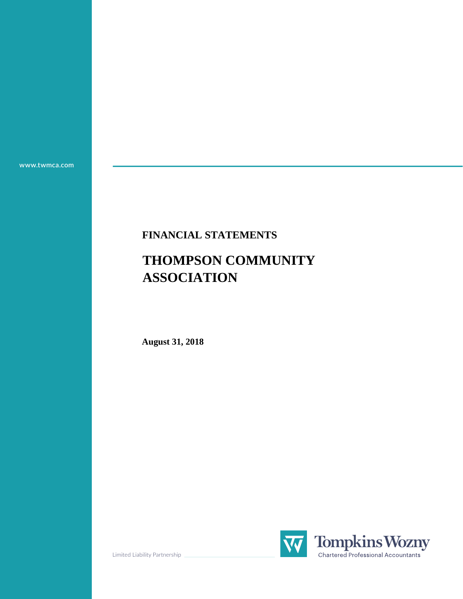**www.twmca.com**

### **FINANCIAL STATEMENTS**

# **THOMPSON COMMUNITY ASSOCIATION**

**August 31, 2018**



Limited Liability Partnership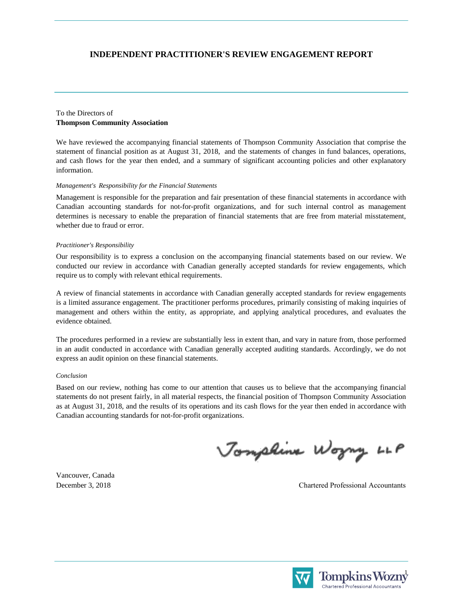#### **INDEPENDENT PRACTITIONER'S REVIEW ENGAGEMENT REPORT**

#### **Thompson Community Association** To the Directors of

We have reviewed the accompanying financial statements of Thompson Community Association that comprise the statement of financial position as at August 31, 2018, and the statements of changes in fund balances, operations, and cash flows for the year then ended, and a summary of significant accounting policies and other explanatory information.

#### *Management's Responsibility for the Financial Statements*

Management is responsible for the preparation and fair presentation of these financial statements in accordance with Canadian accounting standards for not-for-profit organizations, and for such internal control as management determines is necessary to enable the preparation of financial statements that are free from material misstatement, whether due to fraud or error.

#### *Practitioner's Responsibility*

Our responsibility is to express a conclusion on the accompanying financial statements based on our review. We conducted our review in accordance with Canadian generally accepted standards for review engagements, which require us to comply with relevant ethical requirements.

A review of financial statements in accordance with Canadian generally accepted standards for review engagements is a limited assurance engagement. The practitioner performs procedures, primarily consisting of making inquiries of management and others within the entity, as appropriate, and applying analytical procedures, and evaluates the evidence obtained.

The procedures performed in a review are substantially less in extent than, and vary in nature from, those performed in an audit conducted in accordance with Canadian generally accepted auditing standards. Accordingly, we do not express an audit opinion on these financial statements.

#### *Conclusion*

Based on our review, nothing has come to our attention that causes us to believe that the accompanying financial statements do not present fairly, in all material respects, the financial position of Thompson Community Association as at August 31, 2018, and the results of its operations and its cash flows for the year then ended in accordance with Canadian accounting standards for not-for-profit organizations.

Jonphine Wogny LLP

Vancouver, Canada

December 3, 2018 Chartered Professional Accountants



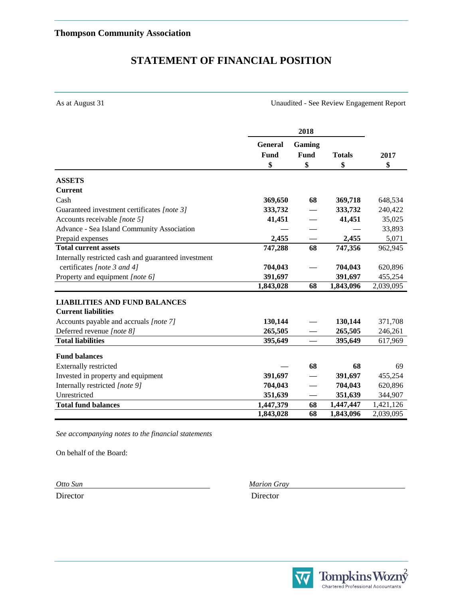### **STATEMENT OF FINANCIAL POSITION**

As at August 31 Unaudited - See Review Engagement Report

|                                                      |                | 2018                     |               |           |
|------------------------------------------------------|----------------|--------------------------|---------------|-----------|
|                                                      | <b>General</b> | Gaming                   |               |           |
|                                                      | Fund           | Fund                     | <b>Totals</b> | 2017      |
|                                                      | \$             | \$                       | \$            | \$        |
| <b>ASSETS</b>                                        |                |                          |               |           |
| <b>Current</b>                                       |                |                          |               |           |
| Cash                                                 | 369,650        | 68                       | 369,718       | 648,534   |
| Guaranteed investment certificates [note 3]          | 333,732        |                          | 333,732       | 240,422   |
| Accounts receivable [note 5]                         | 41,451         |                          | 41,451        | 35,025    |
| Advance - Sea Island Community Association           |                |                          |               | 33,893    |
| Prepaid expenses                                     | 2,455          |                          | 2,455         | 5,071     |
| <b>Total current assets</b>                          | 747,288        | 68                       | 747,356       | 962,945   |
| Internally restricted cash and guaranteed investment |                |                          |               |           |
| certificates [note 3 and 4]                          | 704,043        |                          | 704,043       | 620,896   |
| Property and equipment [note 6]                      | 391,697        |                          | 391,697       | 455,254   |
|                                                      | 1,843,028      | 68                       | 1,843,096     | 2,039,095 |
| <b>LIABILITIES AND FUND BALANCES</b>                 |                |                          |               |           |
| <b>Current liabilities</b>                           |                |                          |               |           |
| Accounts payable and accruals [note 7]               | 130,144        |                          | 130,144       | 371,708   |
| Deferred revenue [note 8]                            | 265,505        |                          | 265,505       | 246,261   |
| <b>Total liabilities</b>                             | 395,649        | $\overline{\phantom{0}}$ | 395,649       | 617,969   |
| <b>Fund balances</b>                                 |                |                          |               |           |
| Externally restricted                                |                | 68                       | 68            | 69        |
| Invested in property and equipment                   | 391,697        |                          | 391,697       | 455,254   |
| Internally restricted [note 9]                       | 704,043        |                          | 704,043       | 620,896   |
| Unrestricted                                         | 351,639        |                          | 351,639       | 344,907   |
| <b>Total fund balances</b>                           | 1,447,379      | 68                       | 1,447,447     | 1,421,126 |
|                                                      | 1,843,028      | 68                       | 1,843,096     | 2,039,095 |

*See accompanying notes to the financial statements*

On behalf of the Board:

*Otto Sun Marion Gray*

Director Director



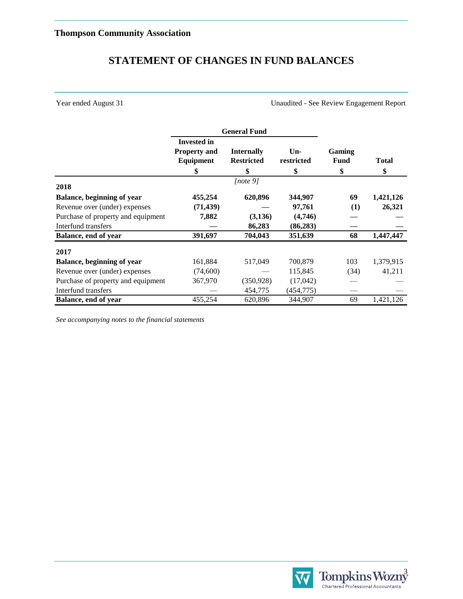## **STATEMENT OF CHANGES IN FUND BALANCES**

Year ended August 31 Unaudited - See Review Engagement Report

|                                    | <b>General Fund</b>                                          |                                              |                           |                             |                    |
|------------------------------------|--------------------------------------------------------------|----------------------------------------------|---------------------------|-----------------------------|--------------------|
|                                    | <b>Invested in</b><br><b>Property and</b><br>Equipment<br>\$ | <b>Internally</b><br><b>Restricted</b><br>\$ | $Un-$<br>restricted<br>\$ | Gaming<br><b>Fund</b><br>\$ | <b>Total</b><br>\$ |
| 2018                               |                                                              | [note $9$ ]                                  |                           |                             |                    |
| <b>Balance, beginning of year</b>  | 455,254                                                      | 620,896                                      | 344,907                   | 69                          | 1,421,126          |
| Revenue over (under) expenses      | (71, 439)                                                    |                                              | 97,761                    | (1)                         | 26,321             |
| Purchase of property and equipment | 7,882                                                        | (3,136)                                      | (4,746)                   |                             |                    |
| Interfund transfers                |                                                              | 86,283                                       | (86, 283)                 |                             |                    |
| Balance, end of year               | 391,697                                                      | 704,043                                      | 351,639                   | 68                          | 1,447,447          |
| 2017                               |                                                              |                                              |                           |                             |                    |
| <b>Balance, beginning of year</b>  | 161,884                                                      | 517,049                                      | 700,879                   | 103                         | 1,379,915          |
| Revenue over (under) expenses      | (74,600)                                                     |                                              | 115,845                   | (34)                        | 41,211             |
| Purchase of property and equipment | 367,970                                                      | (350, 928)                                   | (17, 042)                 |                             |                    |
| Interfund transfers                |                                                              | 454,775                                      | (454, 775)                |                             |                    |
| Balance, end of year               | 455,254                                                      | 620,896                                      | 344,907                   | 69                          | 1,421,126          |

*See accompanying notes to the financial statements*

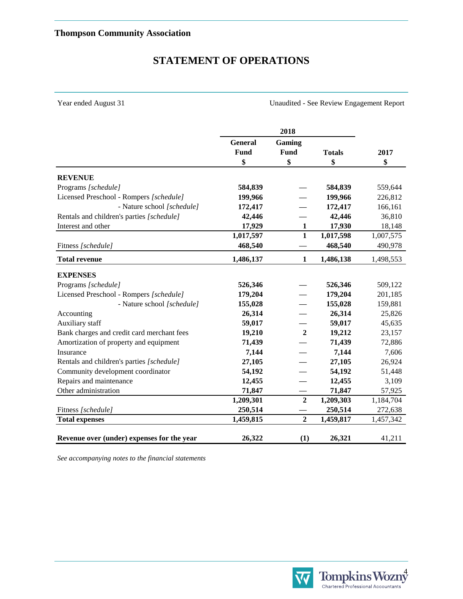### **STATEMENT OF OPERATIONS**

Year ended August 31 Unaudited - See Review Engagement Report

|                                            |             | 2018             |               |           |
|--------------------------------------------|-------------|------------------|---------------|-----------|
|                                            | General     | Gaming           |               |           |
|                                            | <b>Fund</b> | <b>Fund</b>      | <b>Totals</b> | 2017      |
|                                            | \$          | \$               | \$            | \$        |
| <b>REVENUE</b>                             |             |                  |               |           |
| Programs [schedule]                        | 584,839     |                  | 584,839       | 559,644   |
| Licensed Preschool - Rompers [schedule]    | 199,966     |                  | 199,966       | 226,812   |
| - Nature school [schedule]                 | 172,417     |                  | 172,417       | 166,161   |
| Rentals and children's parties [schedule]  | 42,446      |                  | 42,446        | 36,810    |
| Interest and other                         | 17,929      | 1                | 17,930        | 18,148    |
|                                            | 1,017,597   | $\mathbf{1}$     | 1,017,598     | 1,007,575 |
| Fitness [schedule]                         | 468,540     |                  | 468,540       | 490,978   |
| <b>Total revenue</b>                       | 1,486,137   | $\mathbf{1}$     | 1,486,138     | 1,498,553 |
| <b>EXPENSES</b>                            |             |                  |               |           |
| Programs [schedule]                        | 526,346     |                  | 526,346       | 509,122   |
| Licensed Preschool - Rompers [schedule]    | 179,204     |                  | 179,204       | 201,185   |
| - Nature school [schedule]                 | 155,028     |                  | 155,028       | 159,881   |
| Accounting                                 | 26,314      |                  | 26,314        | 25,826    |
| Auxiliary staff                            | 59,017      |                  | 59,017        | 45,635    |
| Bank charges and credit card merchant fees | 19,210      | $\overline{2}$   | 19,212        | 23,157    |
| Amortization of property and equipment     | 71,439      |                  | 71,439        | 72,886    |
| Insurance                                  | 7,144       |                  | 7,144         | 7,606     |
| Rentals and children's parties [schedule]  | 27,105      |                  | 27,105        | 26,924    |
| Community development coordinator          | 54,192      |                  | 54,192        | 51,448    |
| Repairs and maintenance                    | 12,455      |                  | 12,455        | 3,109     |
| Other administration                       | 71,847      |                  | 71,847        | 57,925    |
|                                            | 1,209,301   | $\overline{2}$   | 1,209,303     | 1,184,704 |
| Fitness [schedule]                         | 250,514     |                  | 250,514       | 272,638   |
| <b>Total expenses</b>                      | 1,459,815   | $\boldsymbol{2}$ | 1,459,817     | 1,457,342 |
| Revenue over (under) expenses for the year | 26,322      | (1)              | 26,321        | 41,211    |

*See accompanying notes to the financial statements*



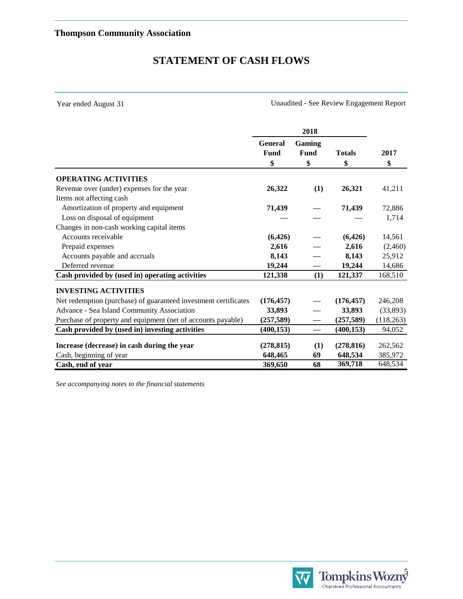# **STATEMENT OF CASH FLOWS**

Year ended August 31

Unaudited - See Review Engagement Report

|                                                                 | 2018                   |                          |               |            |      |
|-----------------------------------------------------------------|------------------------|--------------------------|---------------|------------|------|
|                                                                 | <b>General</b><br>Fund | Gaming<br>Fund           | <b>Totals</b> |            | 2017 |
|                                                                 | \$                     | \$                       | \$            | \$         |      |
| <b>OPERATING ACTIVITIES</b>                                     |                        |                          |               |            |      |
| Revenue over (under) expenses for the year                      | 26,322                 | (1)                      | 26,321        | 41,211     |      |
| Items not affecting cash                                        |                        |                          |               |            |      |
| Amortization of property and equipment                          | 71,439                 |                          | 71,439        | 72,886     |      |
| Loss on disposal of equipment                                   |                        |                          |               | 1,714      |      |
| Changes in non-cash working capital items                       |                        |                          |               |            |      |
| Accounts receivable                                             | (6,426)                |                          | (6, 426)      | 14,561     |      |
| Prepaid expenses                                                | 2,616                  |                          | 2,616         | (2,460)    |      |
| Accounts payable and accruals                                   | 8,143                  |                          | 8,143         | 25,912     |      |
| Deferred revenue                                                | 19,244                 |                          | 19,244        | 14,686     |      |
| Cash provided by (used in) operating activities                 | 121,338                | (1)                      | 121,337       | 168,510    |      |
| <b>INVESTING ACTIVITIES</b>                                     |                        |                          |               |            |      |
| Net redemption (purchase) of guaranteed investment certificates | (176, 457)             |                          | (176, 457)    | 246,208    |      |
| Advance - Sea Island Community Association                      | 33,893                 |                          | 33,893        | (33, 893)  |      |
| Purchase of property and equipment (net of accounts payable)    | (257, 589)             |                          | (257, 589)    | (118, 263) |      |
| Cash provided by (used in) investing activities                 | (400, 153)             | $\overline{\phantom{0}}$ | (400, 153)    | 94,052     |      |
| Increase (decrease) in cash during the year                     | (278, 815)             | (1)                      | (278, 816)    | 262,562    |      |
| Cash, beginning of year                                         | 648,465                | 69                       | 648,534       | 385,972    |      |
| Cash, end of year                                               | 369,650                | 68                       | 369,718       | 648,534    |      |

*See accompanying notes to the financial statements*

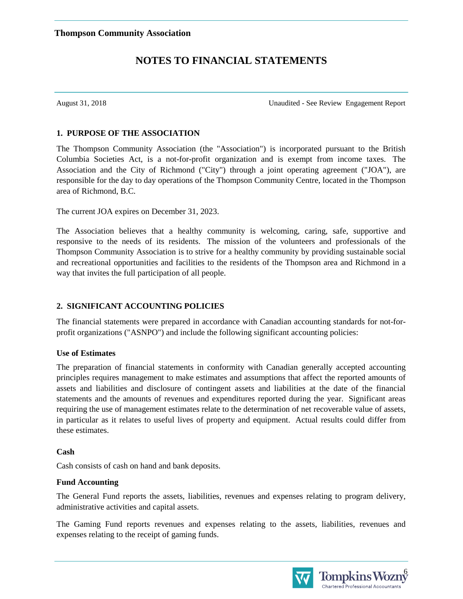August 31, 2018 Unaudited - See Review Engagement Report

#### **1. PURPOSE OF THE ASSOCIATION**

The Thompson Community Association (the "Association") is incorporated pursuant to the British Columbia Societies Act, is a not-for-profit organization and is exempt from income taxes. The Association and the City of Richmond ("City") through a joint operating agreement ("JOA"), are responsible for the day to day operations of the Thompson Community Centre, located in the Thompson area of Richmond, B.C.

The current JOA expires on December 31, 2023.

The Association believes that a healthy community is welcoming, caring, safe, supportive and responsive to the needs of its residents. The mission of the volunteers and professionals of the Thompson Community Association is to strive for a healthy community by providing sustainable social and recreational opportunities and facilities to the residents of the Thompson area and Richmond in a way that invites the full participation of all people.

### **2. SIGNIFICANT ACCOUNTING POLICIES**

The financial statements were prepared in accordance with Canadian accounting standards for not-forprofit organizations ("ASNPO") and include the following significant accounting policies:

#### **Use of Estimates**

The preparation of financial statements in conformity with Canadian generally accepted accounting principles requires management to make estimates and assumptions that affect the reported amounts of assets and liabilities and disclosure of contingent assets and liabilities at the date of the financial statements and the amounts of revenues and expenditures reported during the year. Significant areas requiring the use of management estimates relate to the determination of net recoverable value of assets, in particular as it relates to useful lives of property and equipment. Actual results could differ from these estimates.

#### **Cash**

Cash consists of cash on hand and bank deposits.

### **Fund Accounting**

The General Fund reports the assets, liabilities, revenues and expenses relating to program delivery, administrative activities and capital assets.

The Gaming Fund reports revenues and expenses relating to the assets, liabilities, revenues and expenses relating to the receipt of gaming funds.



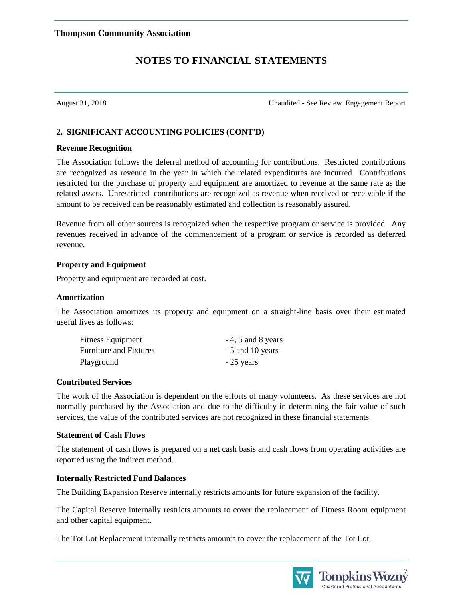August 31, 2018 Unaudited - See Review Engagement Report

#### **2. SIGNIFICANT ACCOUNTING POLICIES (CONT'D)**

#### **Revenue Recognition**

The Association follows the deferral method of accounting for contributions. Restricted contributions are recognized as revenue in the year in which the related expenditures are incurred. Contributions restricted for the purchase of property and equipment are amortized to revenue at the same rate as the related assets. Unrestricted contributions are recognized as revenue when received or receivable if the amount to be received can be reasonably estimated and collection is reasonably assured.

Revenue from all other sources is recognized when the respective program or service is provided. Any revenues received in advance of the commencement of a program or service is recorded as deferred revenue.

#### **Property and Equipment**

Property and equipment are recorded at cost.

#### **Amortization**

The Association amortizes its property and equipment on a straight-line basis over their estimated useful lives as follows:

| <b>Fitness Equipment</b>      | $-4$ , 5 and 8 years |
|-------------------------------|----------------------|
| <b>Furniture and Fixtures</b> | - 5 and 10 years     |
| Playground                    | $-25$ years          |

#### **Contributed Services**

The work of the Association is dependent on the efforts of many volunteers. As these services are not normally purchased by the Association and due to the difficulty in determining the fair value of such services, the value of the contributed services are not recognized in these financial statements.

#### **Statement of Cash Flows**

The statement of cash flows is prepared on a net cash basis and cash flows from operating activities are reported using the indirect method.

#### **Internally Restricted Fund Balances**

The Building Expansion Reserve internally restricts amounts for future expansion of the facility.

The Capital Reserve internally restricts amounts to cover the replacement of Fitness Room equipment and other capital equipment.

The Tot Lot Replacement internally restricts amounts to cover the replacement of the Tot Lot.



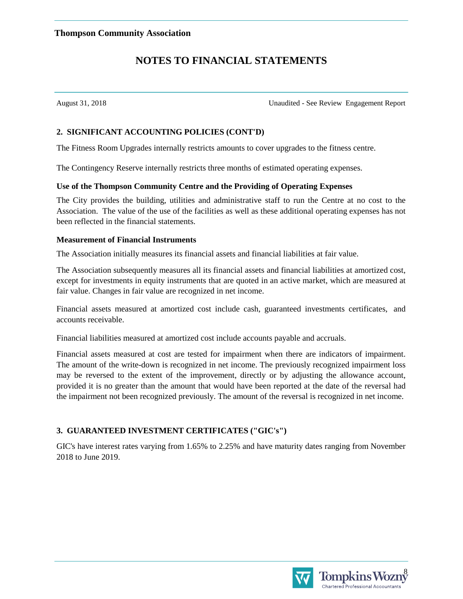August 31, 2018 Unaudited - See Review Engagement Report

#### **2. SIGNIFICANT ACCOUNTING POLICIES (CONT'D)**

The Fitness Room Upgrades internally restricts amounts to cover upgrades to the fitness centre.

The Contingency Reserve internally restricts three months of estimated operating expenses.

#### **Use of the Thompson Community Centre and the Providing of Operating Expenses**

The City provides the building, utilities and administrative staff to run the Centre at no cost to the Association. The value of the use of the facilities as well as these additional operating expenses has not been reflected in the financial statements.

#### **Measurement of Financial Instruments**

The Association initially measures its financial assets and financial liabilities at fair value.

The Association subsequently measures all its financial assets and financial liabilities at amortized cost, except for investments in equity instruments that are quoted in an active market, which are measured at fair value. Changes in fair value are recognized in net income.

Financial assets measured at amortized cost include cash, guaranteed investments certificates, and accounts receivable.

Financial liabilities measured at amortized cost include accounts payable and accruals.

Financial assets measured at cost are tested for impairment when there are indicators of impairment. The amount of the write-down is recognized in net income. The previously recognized impairment loss may be reversed to the extent of the improvement, directly or by adjusting the allowance account, provided it is no greater than the amount that would have been reported at the date of the reversal had the impairment not been recognized previously. The amount of the reversal is recognized in net income.

### **3. GUARANTEED INVESTMENT CERTIFICATES ("GIC's")**

GIC's have interest rates varying from 1.65% to 2.25% and have maturity dates ranging from November 2018 to June 2019.

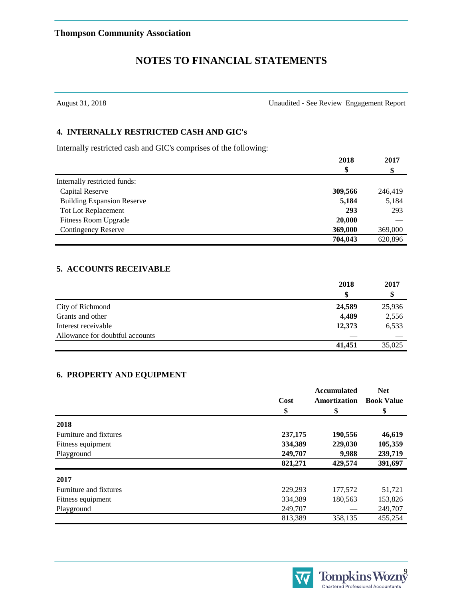August 31, 2018 Unaudited - See Review Engagement Report

#### **4. INTERNALLY RESTRICTED CASH AND GIC's**

Internally restricted cash and GIC's comprises of the following:

|                                   | 2018    | 2017    |
|-----------------------------------|---------|---------|
|                                   | \$      |         |
| Internally restricted funds:      |         |         |
| Capital Reserve                   | 309,566 | 246,419 |
| <b>Building Expansion Reserve</b> | 5,184   | 5,184   |
| <b>Tot Lot Replacement</b>        | 293     | 293     |
| <b>Fitness Room Upgrade</b>       | 20,000  |         |
| <b>Contingency Reserve</b>        | 369,000 | 369,000 |
|                                   | 704.043 | 620.896 |

#### **5. ACCOUNTS RECEIVABLE**

|                                 | 2018   | 2017<br>Φ |
|---------------------------------|--------|-----------|
|                                 | S      |           |
| City of Richmond                | 24,589 | 25,936    |
| Grants and other                | 4,489  | 2,556     |
| Interest receivable             | 12,373 | 6,533     |
| Allowance for doubtful accounts |        |           |
|                                 | 41,451 | 35,025    |

#### **6. PROPERTY AND EQUIPMENT**

|                        | Cost<br>\$ | <b>Accumulated</b><br>Amortization<br>\$ | <b>Net</b><br><b>Book Value</b><br>\$ |
|------------------------|------------|------------------------------------------|---------------------------------------|
| 2018                   |            |                                          |                                       |
| Furniture and fixtures | 237,175    | 190,556                                  | 46,619                                |
| Fitness equipment      | 334,389    | 229,030                                  | 105,359                               |
| Playground             | 249,707    | 9,988                                    | 239,719                               |
|                        | 821,271    | 429,574                                  | 391,697                               |
| 2017                   |            |                                          |                                       |
| Furniture and fixtures | 229,293    | 177,572                                  | 51,721                                |
| Fitness equipment      | 334,389    | 180,563                                  | 153,826                               |
| Playground             | 249,707    |                                          | 249,707                               |
|                        | 813,389    | 358,135                                  | 455,254                               |

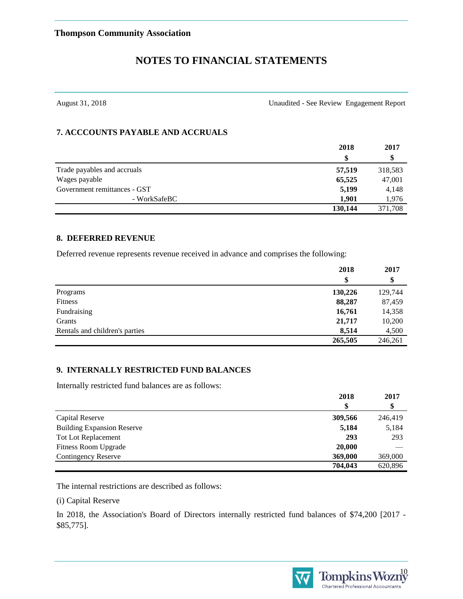August 31, 2018 Unaudited - See Review Engagement Report

#### **7. ACCCOUNTS PAYABLE AND ACCRUALS**

|                              | 2018<br>S | 2017<br>\$ |
|------------------------------|-----------|------------|
|                              |           |            |
| Trade payables and accruals  | 57,519    | 318,583    |
| Wages payable                | 65,525    | 47,001     |
| Government remittances - GST | 5,199     | 4,148      |
| - WorkSafeBC                 | 1.901     | 1,976      |
|                              | 130,144   | 371,708    |

#### **8. DEFERRED REVENUE**

Deferred revenue represents revenue received in advance and comprises the following:

|                                | 2018    | 2017<br>\$ |
|--------------------------------|---------|------------|
|                                | \$      |            |
| Programs                       | 130,226 | 129,744    |
| Fitness                        | 88,287  | 87,459     |
| Fundraising                    | 16,761  | 14,358     |
| Grants                         | 21,717  | 10,200     |
| Rentals and children's parties | 8,514   | 4,500      |
|                                | 265,505 | 246,261    |

#### **9. INTERNALLY RESTRICTED FUND BALANCES**

Internally restricted fund balances are as follows:

|                                   | 2018<br>\$ | 2017<br>\$ |
|-----------------------------------|------------|------------|
|                                   |            |            |
| Capital Reserve                   | 309,566    | 246,419    |
| <b>Building Expansion Reserve</b> | 5,184      | 5,184      |
| Tot Lot Replacement               | 293        | 293        |
| <b>Fitness Room Upgrade</b>       | 20,000     |            |
| <b>Contingency Reserve</b>        | 369,000    | 369,000    |
|                                   | 704,043    | 620,896    |

The internal restrictions are described as follows:

(i) Capital Reserve

In 2018, the Association's Board of Directors internally restricted fund balances of \$74,200 [2017 - \$85,775].



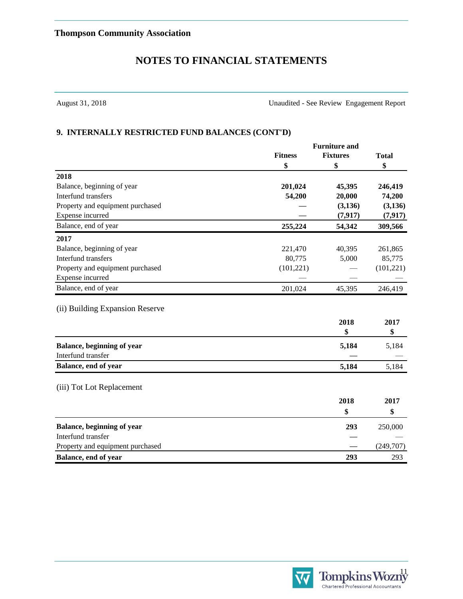August 31, 2018 Unaudited - See Review Engagement Report

#### **9. INTERNALLY RESTRICTED FUND BALANCES (CONT'D)**

|                                  |                | <b>Furniture and</b> |              |
|----------------------------------|----------------|----------------------|--------------|
|                                  | <b>Fitness</b> | <b>Fixtures</b>      | <b>Total</b> |
|                                  | \$             | \$                   | \$           |
| 2018                             |                |                      |              |
| Balance, beginning of year       | 201,024        | 45,395               | 246,419      |
| Interfund transfers              | 54,200         | 20,000               | 74,200       |
| Property and equipment purchased |                | (3,136)              | (3, 136)     |
| Expense incurred                 |                | (7, 917)             | (7, 917)     |
| Balance, end of year             | 255,224        | 54,342               | 309,566      |
| 2017                             |                |                      |              |
| Balance, beginning of year       | 221,470        | 40,395               | 261,865      |
| <b>Interfund transfers</b>       | 80,775         | 5,000                | 85,775       |
| Property and equipment purchased | (101, 221)     |                      | (101, 221)   |
| Expense incurred                 |                |                      |              |
| Balance, end of year             | 201,024        | 45,395               | 246,419      |
| (ii) Building Expansion Reserve  |                |                      |              |
|                                  |                | 2018                 | 2017         |
|                                  |                | \$                   | \$           |
| Balance, beginning of year       |                | 5,184                | 5,184        |
| Interfund transfer               |                |                      |              |
| Balance, end of year             |                | 5,184                | 5,184        |
| (iii) Tot Lot Replacement        |                |                      |              |
|                                  |                |                      |              |
|                                  |                | 2018                 | 2017         |
|                                  |                | \$                   | \$           |
| Balance, beginning of year       |                | 293                  | 250,000      |
| Interfund transfer               |                |                      |              |
| Property and equipment purchased |                |                      | (249,707)    |
| Balance, end of year             |                | 293                  | 293          |

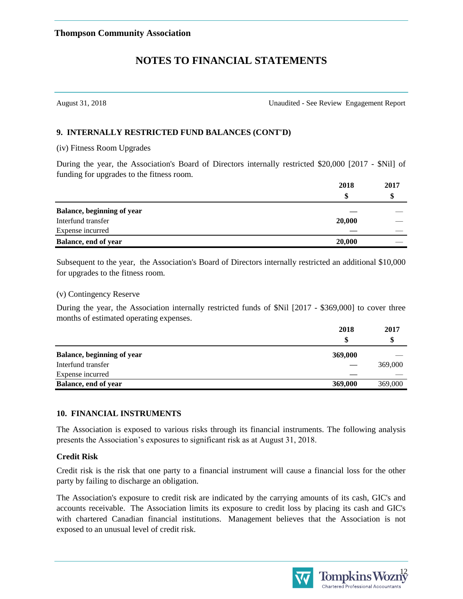August 31, 2018 Unaudited - See Review Engagement Report

#### **9. INTERNALLY RESTRICTED FUND BALANCES (CONT'D)**

(iv) Fitness Room Upgrades

During the year, the Association's Board of Directors internally restricted \$20,000 [2017 - \$Nil] of funding for upgrades to the fitness room.

|                                   | 2018   | 2017 |
|-----------------------------------|--------|------|
|                                   | S      |      |
| <b>Balance, beginning of year</b> |        |      |
| Interfund transfer                | 20,000 |      |
| Expense incurred                  |        |      |
| Balance, end of year              | 20,000 |      |

Subsequent to the year, the Association's Board of Directors internally restricted an additional \$10,000 for upgrades to the fitness room.

(v) Contingency Reserve

During the year, the Association internally restricted funds of \$Nil [2017 - \$369,000] to cover three months of estimated operating expenses.

|                             | 2018    | 2017    |
|-----------------------------|---------|---------|
|                             | \$      | S       |
| Balance, beginning of year  | 369,000 |         |
| Interfund transfer          |         | 369,000 |
| Expense incurred            |         |         |
| <b>Balance, end of year</b> | 369,000 | 369,000 |

#### **10. FINANCIAL INSTRUMENTS**

The Association is exposed to various risks through its financial instruments. The following analysis presents the Association's exposures to significant risk as at August 31, 2018.

#### **Credit Risk**

Credit risk is the risk that one party to a financial instrument will cause a financial loss for the other party by failing to discharge an obligation.

The Association's exposure to credit risk are indicated by the carrying amounts of its cash, GIC's and accounts receivable. The Association limits its exposure to credit loss by placing its cash and GIC's with chartered Canadian financial institutions. Management believes that the Association is not exposed to an unusual level of credit risk.



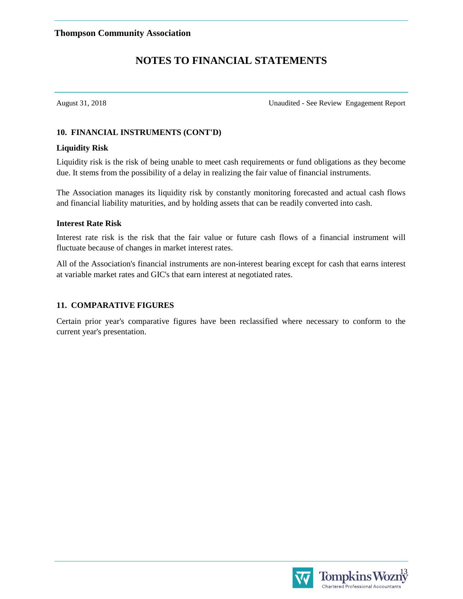August 31, 2018 Unaudited - See Review Engagement Report

#### **10. FINANCIAL INSTRUMENTS (CONT'D)**

#### **Liquidity Risk**

Liquidity risk is the risk of being unable to meet cash requirements or fund obligations as they become due. It stems from the possibility of a delay in realizing the fair value of financial instruments.

The Association manages its liquidity risk by constantly monitoring forecasted and actual cash flows and financial liability maturities, and by holding assets that can be readily converted into cash.

#### **Interest Rate Risk**

Interest rate risk is the risk that the fair value or future cash flows of a financial instrument will fluctuate because of changes in market interest rates.

All of the Association's financial instruments are non-interest bearing except for cash that earns interest at variable market rates and GIC's that earn interest at negotiated rates.

#### **11. COMPARATIVE FIGURES**

Certain prior year's comparative figures have been reclassified where necessary to conform to the current year's presentation.